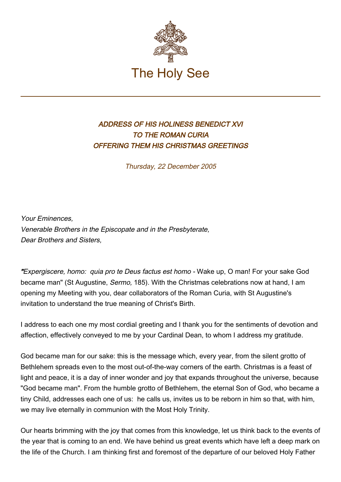

## ADDRESS OF HIS HOLINESS BENEDICT XVI TO THE ROMAN CURIA OFFERING THEM HIS CHRISTMAS GREETINGS

Thursday, 22 December 2005

Your Eminences, Venerable Brothers in the Episcopate and in the Presbyterate, Dear Brothers and Sisters,

"Expergiscere, homo: quia pro te Deus factus est homo - Wake up, O man! For your sake God became man" (St Augustine, Sermo, 185). With the Christmas celebrations now at hand, I am opening my Meeting with you, dear collaborators of the Roman Curia, with St Augustine's invitation to understand the true meaning of Christ's Birth.

I address to each one my most cordial greeting and I thank you for the sentiments of devotion and affection, effectively conveyed to me by your Cardinal Dean, to whom I address my gratitude.

God became man for our sake: this is the message which, every year, from the silent grotto of Bethlehem spreads even to the most out-of-the-way corners of the earth. Christmas is a feast of light and peace, it is a day of inner wonder and joy that expands throughout the universe, because "God became man". From the humble grotto of Bethlehem, the eternal Son of God, who became a tiny Child, addresses each one of us: he calls us, invites us to be reborn in him so that, with him, we may live eternally in communion with the Most Holy Trinity.

Our hearts brimming with the joy that comes from this knowledge, let us think back to the events of the year that is coming to an end. We have behind us great events which have left a deep mark on the life of the Church. I am thinking first and foremost of the departure of our beloved Holy Father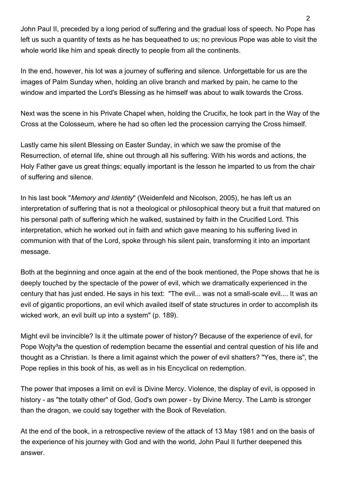John Paul II, preceded by a long period of suffering and the gradual loss of speech. No Pope has left us such a quantity of texts as he has bequeathed to us; no previous Pope was able to visit the whole world like him and speak directly to people from all the continents.

In the end, however, his lot was a journey of suffering and silence. Unforgettable for us are the images of Palm Sunday when, holding an olive branch and marked by pain, he came to the window and imparted the Lord's Blessing as he himself was about to walk towards the Cross.

Next was the scene in his Private Chapel when, holding the Crucifix, he took part in the Way of the Cross at the Colosseum, where he had so often led the procession carrying the Cross himself.

Lastly came his silent Blessing on Easter Sunday, in which we saw the promise of the Resurrection, of eternal life, shine out through all his suffering. With his words and actions, the Holy Father gave us great things; equally important is the lesson he imparted to us from the chair of suffering and silence.

In his last book "Memory and Identity" (Weidenfeld and Nicolson, 2005), he has left us an interpretation of suffering that is not a theological or philosophical theory but a fruit that matured on his personal path of suffering which he walked, sustained by faith in the Crucified Lord. This interpretation, which he worked out in faith and which gave meaning to his suffering lived in communion with that of the Lord, spoke through his silent pain, transforming it into an important message.

Both at the beginning and once again at the end of the book mentioned, the Pope shows that he is deeply touched by the spectacle of the power of evil, which we dramatically experienced in the century that has just ended. He says in his text: "The evil... was not a small-scale evil.... It was an evil of gigantic proportions, an evil which availed itself of state structures in order to accomplish its wicked work, an evil built up into a system" (p. 189).

Might evil be invincible? Is it the ultimate power of history? Because of the experience of evil, for Pope Wojty<sup>3</sup>a the question of redemption became the essential and central question of his life and thought as a Christian. Is there a limit against which the power of evil shatters? "Yes, there is", the Pope replies in this book of his, as well as in his Encyclical on redemption.

The power that imposes a limit on evil is Divine Mercy. Violence, the display of evil, is opposed in history - as "the totally other" of God, God's own power - by Divine Mercy. The Lamb is stronger than the dragon, we could say together with the Book of Revelation.

At the end of the book, in a retrospective review of the attack of 13 May 1981 and on the basis of the experience of his journey with God and with the world, John Paul II further deepened this answer.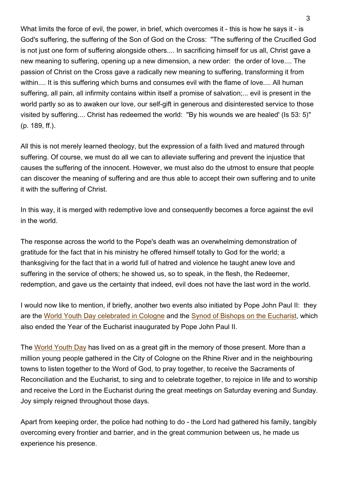What limits the force of evil, the power, in brief, which overcomes it - this is how he says it - is God's suffering, the suffering of the Son of God on the Cross: "The suffering of the Crucified God is not just one form of suffering alongside others.... In sacrificing himself for us all, Christ gave a new meaning to suffering, opening up a new dimension, a new order: the order of love.... The passion of Christ on the Cross gave a radically new meaning to suffering, transforming it from within.... It is this suffering which burns and consumes evil with the flame of love.... All human suffering, all pain, all infirmity contains within itself a promise of salvation;... evil is present in the world partly so as to awaken our love, our self-gift in generous and disinterested service to those visited by suffering.... Christ has redeemed the world: "By his wounds we are healed' (Is 53: 5)" (p. 189, ff.).

All this is not merely learned theology, but the expression of a faith lived and matured through suffering. Of course, we must do all we can to alleviate suffering and prevent the injustice that causes the suffering of the innocent. However, we must also do the utmost to ensure that people can discover the meaning of suffering and are thus able to accept their own suffering and to unite it with the suffering of Christ.

In this way, it is merged with redemptive love and consequently becomes a force against the evil in the world.

The response across the world to the Pope's death was an overwhelming demonstration of gratitude for the fact that in his ministry he offered himself totally to God for the world; a thanksgiving for the fact that in a world full of hatred and violence he taught anew love and suffering in the service of others; he showed us, so to speak, in the flesh, the Redeemer, redemption, and gave us the certainty that indeed, evil does not have the last word in the world.

I would now like to mention, if briefly, another two events also initiated by Pope John Paul II: they are the [World Youth Day celebrated in Cologne](http://www.vatican.va/gmg/documents/gmg_2005_en.html) and the [Synod of Bishops on the Eucharist](http://www.vatican.va/roman_curia/synod/index.htm#XI%20Ordinary%20General%20Assembly%20of%20the%20Synod%20of%20Bishops), which also ended the Year of the Eucharist inaugurated by Pope John Paul II.

The [World Youth Day](http://www.vatican.va/gmg/documents/gmg_2005_en.html) has lived on as a great gift in the memory of those present. More than a million young people gathered in the City of Cologne on the Rhine River and in the neighbouring towns to listen together to the Word of God, to pray together, to receive the Sacraments of Reconciliation and the Eucharist, to sing and to celebrate together, to rejoice in life and to worship and receive the Lord in the Eucharist during the great meetings on Saturday evening and Sunday. Joy simply reigned throughout those days.

Apart from keeping order, the police had nothing to do - the Lord had gathered his family, tangibly overcoming every frontier and barrier, and in the great communion between us, he made us experience his presence.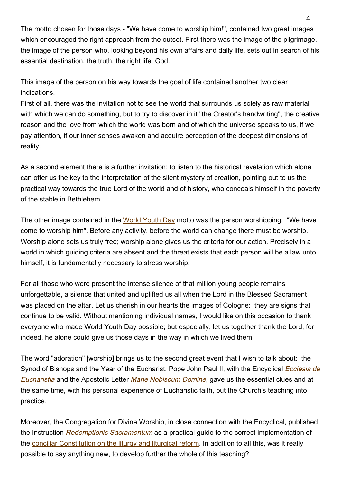The motto chosen for those days - "We have come to worship him!", contained two great images which encouraged the right approach from the outset. First there was the image of the pilgrimage, the image of the person who, looking beyond his own affairs and daily life, sets out in search of his essential destination, the truth, the right life, God.

This image of the person on his way towards the goal of life contained another two clear indications.

First of all, there was the invitation not to see the world that surrounds us solely as raw material with which we can do something, but to try to discover in it "the Creator's handwriting", the creative reason and the love from which the world was born and of which the universe speaks to us, if we pay attention, if our inner senses awaken and acquire perception of the deepest dimensions of reality.

As a second element there is a further invitation: to listen to the historical revelation which alone can offer us the key to the interpretation of the silent mystery of creation, pointing out to us the practical way towards the true Lord of the world and of history, who conceals himself in the poverty of the stable in Bethlehem.

The other image contained in the [World Youth Day](http://www.vatican.va/gmg/documents/gmg_2005_en.html) motto was the person worshipping: "We have come to worship him". Before any activity, before the world can change there must be worship. Worship alone sets us truly free; worship alone gives us the criteria for our action. Precisely in a world in which guiding criteria are absent and the threat exists that each person will be a law unto himself, it is fundamentally necessary to stress worship.

For all those who were present the intense silence of that million young people remains unforgettable, a silence that united and uplifted us all when the Lord in the Blessed Sacrament was placed on the altar. Let us cherish in our hearts the images of Cologne: they are signs that continue to be valid. Without mentioning individual names, I would like on this occasion to thank everyone who made World Youth Day possible; but especially, let us together thank the Lord, for indeed, he alone could give us those days in the way in which we lived them.

The word "adoration" [worship] brings us to the second great event that I wish to talk about: the Synod of Bishops and the Year of the Eucharist. Pope John Paul II, with the Encyclical [Ecclesia de](http://www.vatican.va/edocs/ENG0821/_INDEX.HTM) [Eucharistia](http://www.vatican.va/edocs/ENG0821/_INDEX.HTM) and the Apostolic Letter [Mane Nobiscum Domine](http://w2.vatican.va/content/john-paul-ii/en/apost_letters/documents/hf_jp-ii_apl_20041008_mane-nobiscum-domine.html), gave us the essential clues and at the same time, with his personal experience of Eucharistic faith, put the Church's teaching into practice.

Moreover, the Congregation for Divine Worship, in close connection with the Encyclical, published the Instruction [Redemptionis Sacramentum](http://www.vatican.va/roman_curia/congregations/ccdds/documents/rc_con_ccdds_doc_20040423_redemptionis-sacramentum_en.html) as a practical guide to the correct implementation of the [conciliar Constitution on the liturgy and liturgical reform](http://www.vatican.va/archive/hist_councils/ii_vatican_council/documents/vat-ii_const_19631204_sacrosanctum-concilium_en.html). In addition to all this, was it really possible to say anything new, to develop further the whole of this teaching?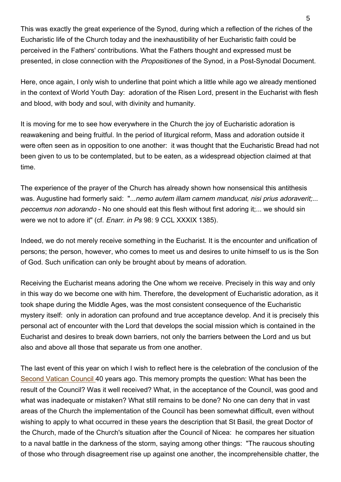This was exactly the great experience of the Synod, during which a reflection of the riches of the Eucharistic life of the Church today and the inexhaustibility of her Eucharistic faith could be perceived in the Fathers' contributions. What the Fathers thought and expressed must be presented, in close connection with the Propositiones of the Synod, in a Post-Synodal Document.

Here, once again, I only wish to underline that point which a little while ago we already mentioned in the context of World Youth Day: adoration of the Risen Lord, present in the Eucharist with flesh and blood, with body and soul, with divinity and humanity.

It is moving for me to see how everywhere in the Church the joy of Eucharistic adoration is reawakening and being fruitful. In the period of liturgical reform, Mass and adoration outside it were often seen as in opposition to one another: it was thought that the Eucharistic Bread had not been given to us to be contemplated, but to be eaten, as a widespread objection claimed at that time.

The experience of the prayer of the Church has already shown how nonsensical this antithesis was. Augustine had formerly said: "...*nemo autem illam carnem manducat, nisi prius adoraverit:...* peccemus non adorando - No one should eat this flesh without first adoring it;... we should sin were we not to adore it" (cf. Enarr. in Ps 98: 9 CCL XXXIX 1385).

Indeed, we do not merely receive something in the Eucharist. It is the encounter and unification of persons; the person, however, who comes to meet us and desires to unite himself to us is the Son of God. Such unification can only be brought about by means of adoration.

Receiving the Eucharist means adoring the One whom we receive. Precisely in this way and only in this way do we become one with him. Therefore, the development of Eucharistic adoration, as it took shape during the Middle Ages, was the most consistent consequence of the Eucharistic mystery itself: only in adoration can profound and true acceptance develop. And it is precisely this personal act of encounter with the Lord that develops the social mission which is contained in the Eucharist and desires to break down barriers, not only the barriers between the Lord and us but also and above all those that separate us from one another.

The last event of this year on which I wish to reflect here is the celebration of the conclusion of the [Second Vatican Council](http://www.vatican.va/archive/hist_councils/ii_vatican_council/index.htm) [4](http://www.vatican.va/archive/hist_councils/ii_vatican_council/index.htm)0 years ago. This memory prompts the question: What has been the result of the Council? Was it well received? What, in the acceptance of the Council, was good and what was inadequate or mistaken? What still remains to be done? No one can deny that in vast areas of the Church the implementation of the Council has been somewhat difficult, even without wishing to apply to what occurred in these years the description that St Basil, the great Doctor of the Church, made of the Church's situation after the Council of Nicea: he compares her situation to a naval battle in the darkness of the storm, saying among other things: "The raucous shouting of those who through disagreement rise up against one another, the incomprehensible chatter, the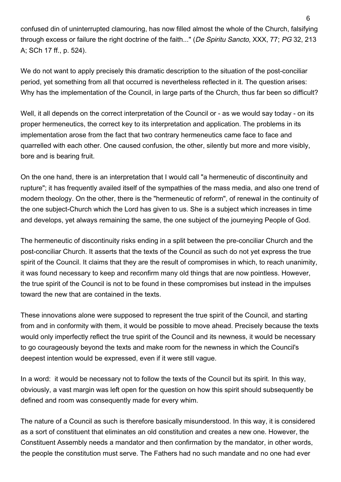confused din of uninterrupted clamouring, has now filled almost the whole of the Church, falsifying through excess or failure the right doctrine of the faith..." (De Spiritu Sancto, XXX, 77; PG 32, 213 A; SCh 17 ff., p. 524).

We do not want to apply precisely this dramatic description to the situation of the post-conciliar period, yet something from all that occurred is nevertheless reflected in it. The question arises: Why has the implementation of the Council, in large parts of the Church, thus far been so difficult?

Well, it all depends on the correct interpretation of the Council or - as we would say today - on its proper hermeneutics, the correct key to its interpretation and application. The problems in its implementation arose from the fact that two contrary hermeneutics came face to face and quarrelled with each other. One caused confusion, the other, silently but more and more visibly, bore and is bearing fruit.

On the one hand, there is an interpretation that I would call "a hermeneutic of discontinuity and rupture"; it has frequently availed itself of the sympathies of the mass media, and also one trend of modern theology. On the other, there is the "hermeneutic of reform", of renewal in the continuity of the one subject-Church which the Lord has given to us. She is a subject which increases in time and develops, yet always remaining the same, the one subject of the journeying People of God.

The hermeneutic of discontinuity risks ending in a split between the pre-conciliar Church and the post-conciliar Church. It asserts that the texts of the Council as such do not yet express the true spirit of the Council. It claims that they are the result of compromises in which, to reach unanimity, it was found necessary to keep and reconfirm many old things that are now pointless. However, the true spirit of the Council is not to be found in these compromises but instead in the impulses toward the new that are contained in the texts.

These innovations alone were supposed to represent the true spirit of the Council, and starting from and in conformity with them, it would be possible to move ahead. Precisely because the texts would only imperfectly reflect the true spirit of the Council and its newness, it would be necessary to go courageously beyond the texts and make room for the newness in which the Council's deepest intention would be expressed, even if it were still vague.

In a word: it would be necessary not to follow the texts of the Council but its spirit. In this way, obviously, a vast margin was left open for the question on how this spirit should subsequently be defined and room was consequently made for every whim.

The nature of a Council as such is therefore basically misunderstood. In this way, it is considered as a sort of constituent that eliminates an old constitution and creates a new one. However, the Constituent Assembly needs a mandator and then confirmation by the mandator, in other words, the people the constitution must serve. The Fathers had no such mandate and no one had ever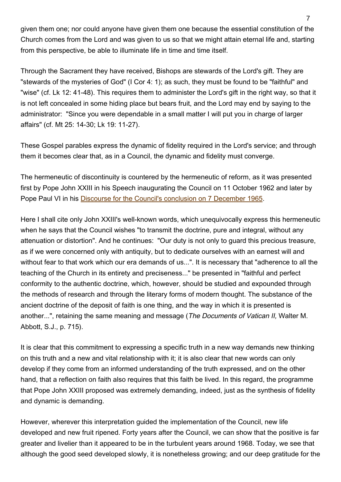given them one; nor could anyone have given them one because the essential constitution of the Church comes from the Lord and was given to us so that we might attain eternal life and, starting from this perspective, be able to illuminate life in time and time itself.

Through the Sacrament they have received, Bishops are stewards of the Lord's gift. They are "stewards of the mysteries of God" (I Cor 4: 1); as such, they must be found to be "faithful" and "wise" (cf. Lk 12: 41-48). This requires them to administer the Lord's gift in the right way, so that it is not left concealed in some hiding place but bears fruit, and the Lord may end by saying to the administrator: "Since you were dependable in a small matter I will put you in charge of larger affairs" (cf. Mt 25: 14-30; Lk 19: 11-27).

These Gospel parables express the dynamic of fidelity required in the Lord's service; and through them it becomes clear that, as in a Council, the dynamic and fidelity must converge.

The hermeneutic of discontinuity is countered by the hermeneutic of reform, as it was presented first by Pope John XXIII in his Speech inaugurating the Council on 11 October 1962 and later by Pope Paul VI in his [Discourse for the Council's conclusion on 7 December 1965](http://w2.vatican.va/content/paul-vi/en/speeches/1965/documents/hf_p-vi_spe_19651207_epilogo-concilio.html).

Here I shall cite only John XXIII's well-known words, which unequivocally express this hermeneutic when he says that the Council wishes "to transmit the doctrine, pure and integral, without any attenuation or distortion". And he continues: "Our duty is not only to guard this precious treasure, as if we were concerned only with antiquity, but to dedicate ourselves with an earnest will and without fear to that work which our era demands of us...". It is necessary that "adherence to all the teaching of the Church in its entirety and preciseness..." be presented in "faithful and perfect conformity to the authentic doctrine, which, however, should be studied and expounded through the methods of research and through the literary forms of modern thought. The substance of the ancient doctrine of the deposit of faith is one thing, and the way in which it is presented is another...", retaining the same meaning and message (The Documents of Vatican II, Walter M. Abbott, S.J., p. 715).

It is clear that this commitment to expressing a specific truth in a new way demands new thinking on this truth and a new and vital relationship with it; it is also clear that new words can only develop if they come from an informed understanding of the truth expressed, and on the other hand, that a reflection on faith also requires that this faith be lived. In this regard, the programme that Pope John XXIII proposed was extremely demanding, indeed, just as the synthesis of fidelity and dynamic is demanding.

However, wherever this interpretation guided the implementation of the Council, new life developed and new fruit ripened. Forty years after the Council, we can show that the positive is far greater and livelier than it appeared to be in the turbulent years around 1968. Today, we see that although the good seed developed slowly, it is nonetheless growing; and our deep gratitude for the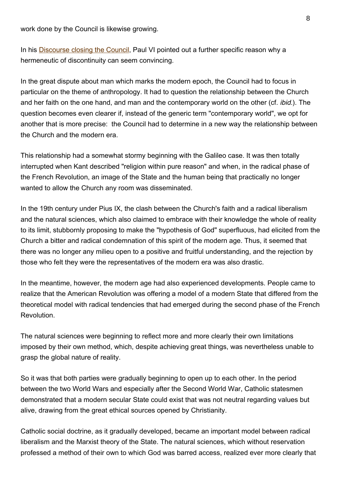work done by the Council is likewise growing.

In his [Discourse closing the Council](http://w2.vatican.va/content/paul-vi/en/speeches/1965/documents/hf_p-vi_spe_19651207_epilogo-concilio.html), Paul VI pointed out a further specific reason why a hermeneutic of discontinuity can seem convincing.

In the great dispute about man which marks the modern epoch, the Council had to focus in particular on the theme of anthropology. It had to question the relationship between the Church and her faith on the one hand, and man and the contemporary world on the other (cf. ibid.). The question becomes even clearer if, instead of the generic term "contemporary world", we opt for another that is more precise: the Council had to determine in a new way the relationship between the Church and the modern era.

This relationship had a somewhat stormy beginning with the Galileo case. It was then totally interrupted when Kant described "religion within pure reason" and when, in the radical phase of the French Revolution, an image of the State and the human being that practically no longer wanted to allow the Church any room was disseminated.

In the 19th century under Pius IX, the clash between the Church's faith and a radical liberalism and the natural sciences, which also claimed to embrace with their knowledge the whole of reality to its limit, stubbornly proposing to make the "hypothesis of God" superfluous, had elicited from the Church a bitter and radical condemnation of this spirit of the modern age. Thus, it seemed that there was no longer any milieu open to a positive and fruitful understanding, and the rejection by those who felt they were the representatives of the modern era was also drastic.

In the meantime, however, the modern age had also experienced developments. People came to realize that the American Revolution was offering a model of a modern State that differed from the theoretical model with radical tendencies that had emerged during the second phase of the French Revolution.

The natural sciences were beginning to reflect more and more clearly their own limitations imposed by their own method, which, despite achieving great things, was nevertheless unable to grasp the global nature of reality.

So it was that both parties were gradually beginning to open up to each other. In the period between the two World Wars and especially after the Second World War, Catholic statesmen demonstrated that a modern secular State could exist that was not neutral regarding values but alive, drawing from the great ethical sources opened by Christianity.

Catholic social doctrine, as it gradually developed, became an important model between radical liberalism and the Marxist theory of the State. The natural sciences, which without reservation professed a method of their own to which God was barred access, realized ever more clearly that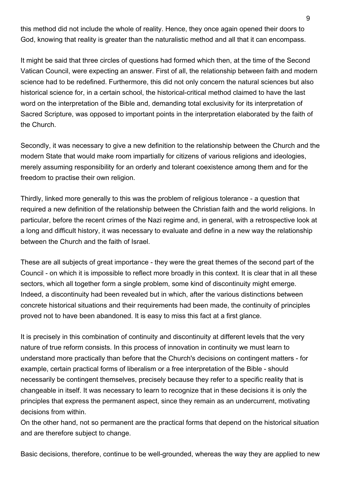this method did not include the whole of reality. Hence, they once again opened their doors to God, knowing that reality is greater than the naturalistic method and all that it can encompass.

It might be said that three circles of questions had formed which then, at the time of the Second Vatican Council, were expecting an answer. First of all, the relationship between faith and modern science had to be redefined. Furthermore, this did not only concern the natural sciences but also historical science for, in a certain school, the historical-critical method claimed to have the last word on the interpretation of the Bible and, demanding total exclusivity for its interpretation of Sacred Scripture, was opposed to important points in the interpretation elaborated by the faith of the Church.

Secondly, it was necessary to give a new definition to the relationship between the Church and the modern State that would make room impartially for citizens of various religions and ideologies, merely assuming responsibility for an orderly and tolerant coexistence among them and for the freedom to practise their own religion.

Thirdly, linked more generally to this was the problem of religious tolerance - a question that required a new definition of the relationship between the Christian faith and the world religions. In particular, before the recent crimes of the Nazi regime and, in general, with a retrospective look at a long and difficult history, it was necessary to evaluate and define in a new way the relationship between the Church and the faith of Israel.

These are all subjects of great importance - they were the great themes of the second part of the Council - on which it is impossible to reflect more broadly in this context. It is clear that in all these sectors, which all together form a single problem, some kind of discontinuity might emerge. Indeed, a discontinuity had been revealed but in which, after the various distinctions between concrete historical situations and their requirements had been made, the continuity of principles proved not to have been abandoned. It is easy to miss this fact at a first glance.

It is precisely in this combination of continuity and discontinuity at different levels that the very nature of true reform consists. In this process of innovation in continuity we must learn to understand more practically than before that the Church's decisions on contingent matters - for example, certain practical forms of liberalism or a free interpretation of the Bible - should necessarily be contingent themselves, precisely because they refer to a specific reality that is changeable in itself. It was necessary to learn to recognize that in these decisions it is only the principles that express the permanent aspect, since they remain as an undercurrent, motivating decisions from within.

On the other hand, not so permanent are the practical forms that depend on the historical situation and are therefore subject to change.

Basic decisions, therefore, continue to be well-grounded, whereas the way they are applied to new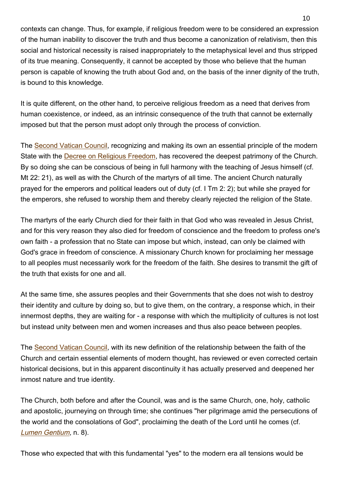contexts can change. Thus, for example, if religious freedom were to be considered an expression of the human inability to discover the truth and thus become a canonization of relativism, then this social and historical necessity is raised inappropriately to the metaphysical level and thus stripped of its true meaning. Consequently, it cannot be accepted by those who believe that the human person is capable of knowing the truth about God and, on the basis of the inner dignity of the truth, is bound to this knowledge.

It is quite different, on the other hand, to perceive religious freedom as a need that derives from human coexistence, or indeed, as an intrinsic consequence of the truth that cannot be externally imposed but that the person must adopt only through the process of conviction.

The [Second Vatican Council](http://www.vatican.va/archive/hist_councils/ii_vatican_council/index.htm), recognizing and making its own an essential principle of the modern State with the [Decree on Religious Freedom](http://www.vatican.va/archive/hist_councils/ii_vatican_council/documents/vat-ii_decl_19651207_dignitatis-humanae_en.html), has recovered the deepest patrimony of the Church. By so doing she can be conscious of being in full harmony with the teaching of Jesus himself (cf. Mt 22: 21), as well as with the Church of the martyrs of all time. The ancient Church naturally prayed for the emperors and political leaders out of duty (cf. I Tm 2: 2); but while she prayed for the emperors, she refused to worship them and thereby clearly rejected the religion of the State.

The martyrs of the early Church died for their faith in that God who was revealed in Jesus Christ, and for this very reason they also died for freedom of conscience and the freedom to profess one's own faith - a profession that no State can impose but which, instead, can only be claimed with God's grace in freedom of conscience. A missionary Church known for proclaiming her message to all peoples must necessarily work for the freedom of the faith. She desires to transmit the gift of the truth that exists for one and all.

At the same time, she assures peoples and their Governments that she does not wish to destroy their identity and culture by doing so, but to give them, on the contrary, a response which, in their innermost depths, they are waiting for - a response with which the multiplicity of cultures is not lost but instead unity between men and women increases and thus also peace between peoples.

The [Second Vatican Council](http://www.vatican.va/archive/hist_councils/ii_vatican_council/index.htm), with its new definition of the relationship between the faith of the Church and certain essential elements of modern thought, has reviewed or even corrected certain historical decisions, but in this apparent discontinuity it has actually preserved and deepened her inmost nature and true identity.

The Church, both before and after the Council, was and is the same Church, one, holy, catholic and apostolic, journeying on through time; she continues "her pilgrimage amid the persecutions of the world and the consolations of God", proclaiming the death of the Lord until he comes (cf. [Lumen Gentium](http://www.vatican.va/archive/hist_councils/ii_vatican_council/documents/vat-ii_const_19641121_lumen-gentium_en.html), n. 8).

Those who expected that with this fundamental "yes" to the modern era all tensions would be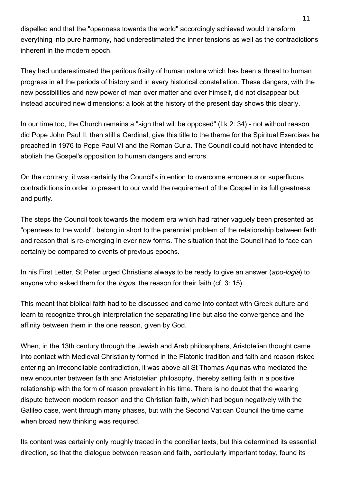dispelled and that the "openness towards the world" accordingly achieved would transform everything into pure harmony, had underestimated the inner tensions as well as the contradictions inherent in the modern epoch.

They had underestimated the perilous frailty of human nature which has been a threat to human progress in all the periods of history and in every historical constellation. These dangers, with the new possibilities and new power of man over matter and over himself, did not disappear but instead acquired new dimensions: a look at the history of the present day shows this clearly.

In our time too, the Church remains a "sign that will be opposed" (Lk 2: 34) - not without reason did Pope John Paul II, then still a Cardinal, give this title to the theme for the Spiritual Exercises he preached in 1976 to Pope Paul VI and the Roman Curia. The Council could not have intended to abolish the Gospel's opposition to human dangers and errors.

On the contrary, it was certainly the Council's intention to overcome erroneous or superfluous contradictions in order to present to our world the requirement of the Gospel in its full greatness and purity.

The steps the Council took towards the modern era which had rather vaguely been presented as "openness to the world", belong in short to the perennial problem of the relationship between faith and reason that is re-emerging in ever new forms. The situation that the Council had to face can certainly be compared to events of previous epochs.

In his First Letter, St Peter urged Christians always to be ready to give an answer (apo-logia) to anyone who asked them for the logos, the reason for their faith (cf. 3: 15).

This meant that biblical faith had to be discussed and come into contact with Greek culture and learn to recognize through interpretation the separating line but also the convergence and the affinity between them in the one reason, given by God.

When, in the 13th century through the Jewish and Arab philosophers, Aristotelian thought came into contact with Medieval Christianity formed in the Platonic tradition and faith and reason risked entering an irreconcilable contradiction, it was above all St Thomas Aquinas who mediated the new encounter between faith and Aristotelian philosophy, thereby setting faith in a positive relationship with the form of reason prevalent in his time. There is no doubt that the wearing dispute between modern reason and the Christian faith, which had begun negatively with the Galileo case, went through many phases, but with the Second Vatican Council the time came when broad new thinking was required.

Its content was certainly only roughly traced in the conciliar texts, but this determined its essential direction, so that the dialogue between reason and faith, particularly important today, found its